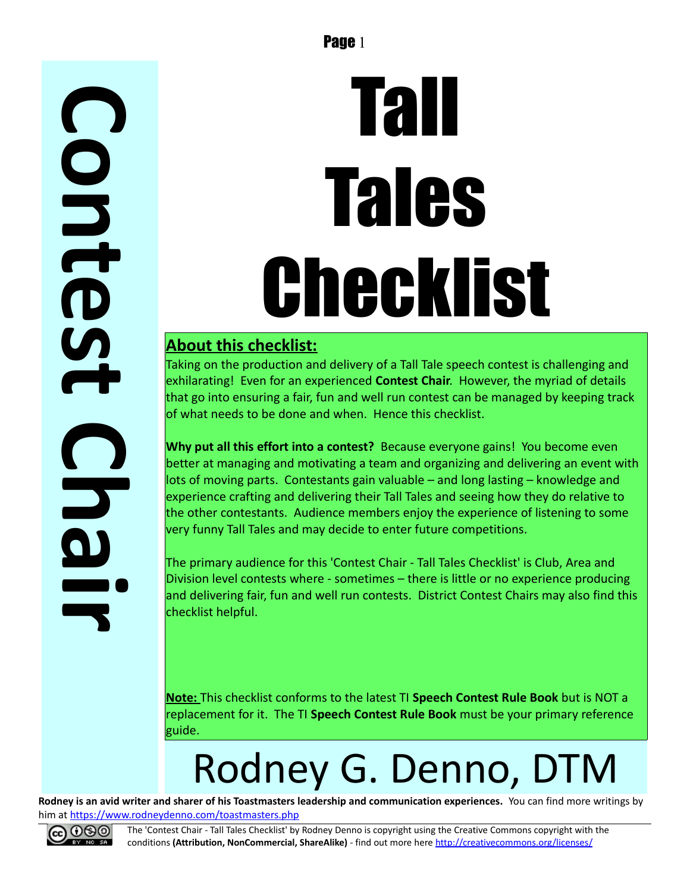## **C o n t e**  $\boldsymbol{\mathsf{L}}$ **t C h**

# Tall Tales Checklist

#### **About this checklist:**

Taking on the production and delivery of a Tall Tale speech contest is challenging and exhilarating! Even for an experienced **Contest Chair**. However, the myriad of details that go into ensuring a fair, fun and well run contest can be managed by keeping track of what needs to be done and when. Hence this checklist.

**Why put all this effort into a contest?** Because everyone gains! You become even better at managing and motivating a team and organizing and delivering an event with lots of moving parts. Contestants gain valuable – and long lasting – knowledge and experience crafting and delivering their Tall Tales and seeing how they do relative to the other contestants. Audience members enjoy the experience of listening to some very funny Tall Tales and may decide to enter future competitions.

The primary audience for this 'Contest Chair - Tall Tales Checklist' is Club, Area and Division level contests where - sometimes – there is little or no experience producing and delivering fair, fun and well run contests. District Contest Chairs may also find this checklist helpful.

**Note:** This checklist conforms to the latest TI **Speech Contest Rule Book** but is NOT a replacement for it. The TI **Speech Contest Rule Book** must be your primary reference guide.

## Rodney G. Denno, DTM

**Rodney is an avid writer and sharer of his Toastmasters leadership and communication experiences.** You can find more writings by him at<https://www.rodneydenno.com/toastmasters.php>



**a**

**r**

**i**

The 'Contest Chair - Tall Tales Checklist' by Rodney Denno is copyright using the Creative Commons copyright with the conditions **(Attribution, NonCommercial, ShareAlike)** - find out more here<http://creativecommons.org/licenses/>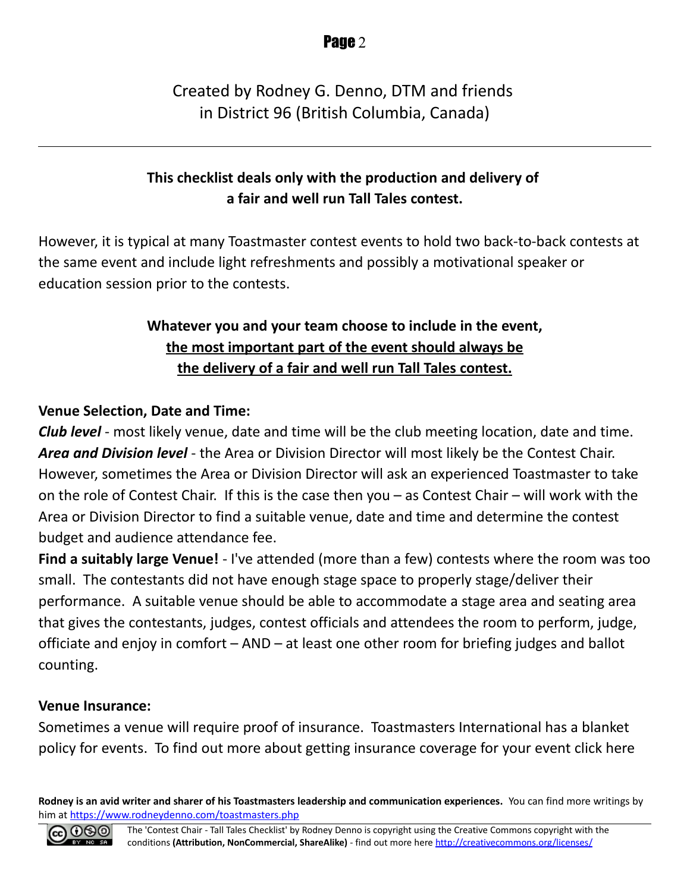#### Created by Rodney G. Denno, DTM and friends in District 96 (British Columbia, Canada)

#### **This checklist deals only with the production and delivery of a fair and well run Tall Tales contest.**

However, it is typical at many Toastmaster contest events to hold two back-to-back contests at the same event and include light refreshments and possibly a motivational speaker or education session prior to the contests.

#### **Whatever you and your team choose to include in the event, the most important part of the event should always be the delivery of a fair and well run Tall Tales contest.**

#### **Venue Selection, Date and Time:**

*Club level* - most likely venue, date and time will be the club meeting location, date and time. *Area and Division level* - the Area or Division Director will most likely be the Contest Chair. However, sometimes the Area or Division Director will ask an experienced Toastmaster to take on the role of Contest Chair. If this is the case then you – as Contest Chair – will work with the Area or Division Director to find a suitable venue, date and time and determine the contest budget and audience attendance fee.

**Find a suitably large Venue!** - I've attended (more than a few) contests where the room was too small. The contestants did not have enough stage space to properly stage/deliver their performance. A suitable venue should be able to accommodate a stage area and seating area that gives the contestants, judges, contest officials and attendees the room to perform, judge, officiate and enjoy in comfort – AND – at least one other room for briefing judges and ballot counting.

#### **Venue Insurance:**

Sometimes a venue will require proof of insurance. Toastmasters International has a blanket policy for events. To find out more about getting insurance coverage for your event click here

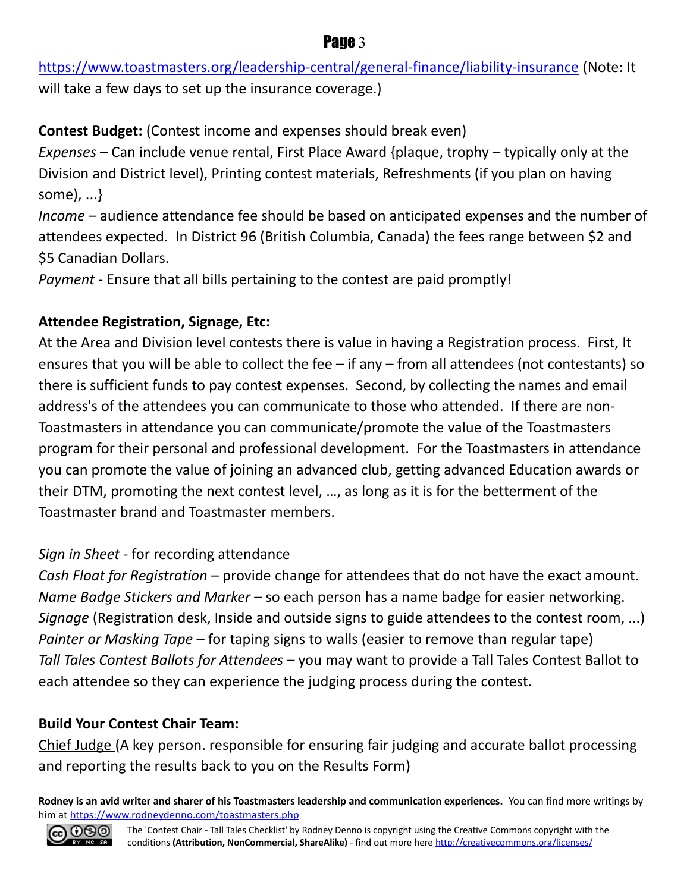<https://www.toastmasters.org/leadership-central/general-finance/liability-insurance>(Note: It will take a few days to set up the insurance coverage.)

**Contest Budget:** (Contest income and expenses should break even)

*Expenses* – Can include venue rental, First Place Award {plaque, trophy – typically only at the Division and District level), Printing contest materials, Refreshments (if you plan on having some), ...}

*Income* – audience attendance fee should be based on anticipated expenses and the number of attendees expected. In District 96 (British Columbia, Canada) the fees range between \$2 and \$5 Canadian Dollars.

*Payment* - Ensure that all bills pertaining to the contest are paid promptly!

#### **Attendee Registration, Signage, Etc:**

At the Area and Division level contests there is value in having a Registration process. First, It ensures that you will be able to collect the fee – if any – from all attendees (not contestants) so there is sufficient funds to pay contest expenses. Second, by collecting the names and email address's of the attendees you can communicate to those who attended. If there are non-Toastmasters in attendance you can communicate/promote the value of the Toastmasters program for their personal and professional development. For the Toastmasters in attendance you can promote the value of joining an advanced club, getting advanced Education awards or their DTM, promoting the next contest level, …, as long as it is for the betterment of the Toastmaster brand and Toastmaster members.

#### *Sign in Sheet* - for recording attendance

*Cash Float for Registration* – provide change for attendees that do not have the exact amount. *Name Badge Stickers and Marker* – so each person has a name badge for easier networking. *Signage* (Registration desk, Inside and outside signs to guide attendees to the contest room, ...) *Painter or Masking Tape* – for taping signs to walls (easier to remove than regular tape) *Tall Tales Contest Ballots for Attendees* – you may want to provide a Tall Tales Contest Ballot to each attendee so they can experience the judging process during the contest.

#### **Build Your Contest Chair Team:**

Chief Judge (A key person. responsible for ensuring fair judging and accurate ballot processing and reporting the results back to you on the Results Form)

**Rodney is an avid writer and sharer of his Toastmasters leadership and communication experiences.** You can find more writings by him at<https://www.rodneydenno.com/toastmasters.php>



#### **Page 3**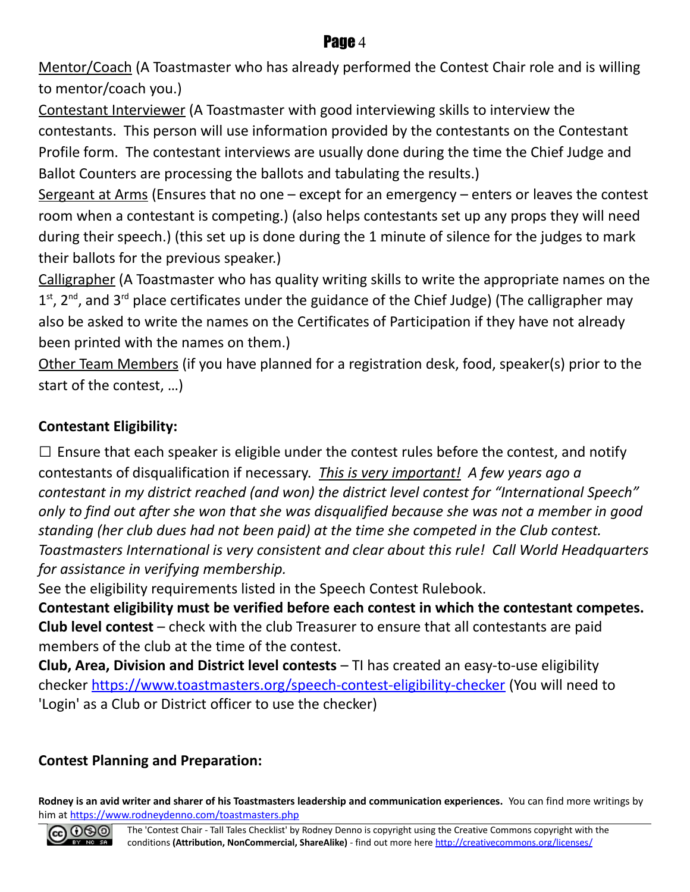Mentor/Coach (A Toastmaster who has already performed the Contest Chair role and is willing to mentor/coach you.)

Contestant Interviewer (A Toastmaster with good interviewing skills to interview the contestants. This person will use information provided by the contestants on the Contestant Profile form. The contestant interviews are usually done during the time the Chief Judge and Ballot Counters are processing the ballots and tabulating the results.)

Sergeant at Arms (Ensures that no one  $-$  except for an emergency  $-$  enters or leaves the contest room when a contestant is competing.) (also helps contestants set up any props they will need during their speech.) (this set up is done during the 1 minute of silence for the judges to mark their ballots for the previous speaker.)

Calligrapher (A Toastmaster who has quality writing skills to write the appropriate names on the  $1<sup>st</sup>$ , 2<sup>nd</sup>, and 3<sup>rd</sup> place certificates under the guidance of the Chief Judge) (The calligrapher may also be asked to write the names on the Certificates of Participation if they have not already been printed with the names on them.)

Other Team Members (if you have planned for a registration desk, food, speaker(s) prior to the start of the contest, …)

#### **Contestant Eligibility:**

 $\square$  Ensure that each speaker is eligible under the contest rules before the contest, and notify contestants of disqualification if necessary. *This is very important! A few years ago a contestant in my district reached (and won) the district level contest for "International Speech" only to find out after she won that she was disqualified because she was not a member in good standing (her club dues had not been paid) at the time she competed in the Club contest. Toastmasters International is very consistent and clear about this rule! Call World Headquarters for assistance in verifying membership.*

See the eligibility requirements listed in the Speech Contest Rulebook.

**Contestant eligibility must be verified before each contest in which the contestant competes. Club level contest** – check with the club Treasurer to ensure that all contestants are paid members of the club at the time of the contest.

**Club, Area, Division and District level contests** – TI has created an easy-to-use eligibility checker<https://www.toastmasters.org/speech-contest-eligibility-checker>(You will need to 'Login' as a Club or District officer to use the checker)

#### **Contest Planning and Preparation:**

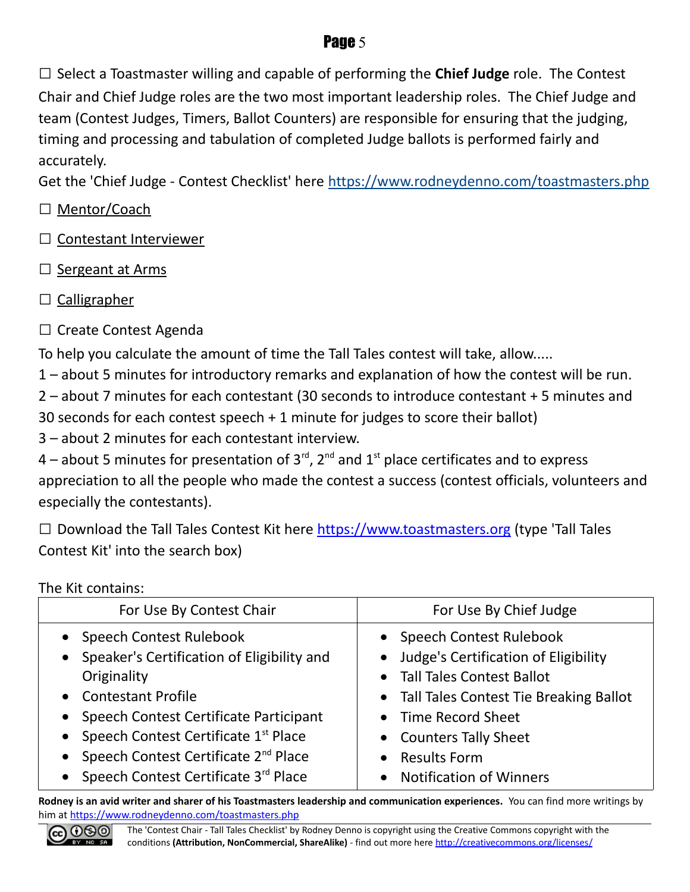□ Select a Toastmaster willing and capable of performing the **Chief Judge** role. The Contest Chair and Chief Judge roles are the two most important leadership roles. The Chief Judge and team (Contest Judges, Timers, Ballot Counters) are responsible for ensuring that the judging, timing and processing and tabulation of completed Judge ballots is performed fairly and accurately.

Get the 'Chief Judge - Contest Checklist' here<https://www.rodneydenno.com/toastmasters.php>

- □ Mentor/Coach
- □ Contestant Interviewer
- □ Sergeant at Arms
- $\Box$  Calligrapher
- □ Create Contest Agenda

To help you calculate the amount of time the Tall Tales contest will take, allow.....

1 – about 5 minutes for introductory remarks and explanation of how the contest will be run.

2 – about 7 minutes for each contestant (30 seconds to introduce contestant + 5 minutes and 30 seconds for each contest speech + 1 minute for judges to score their ballot)

3 – about 2 minutes for each contestant interview.

4 – about 5 minutes for presentation of  $3^{\text{rd}}$ ,  $2^{\text{nd}}$  and  $1^{\text{st}}$  place certificates and to express appreciation to all the people who made the contest a success (contest officials, volunteers and especially the contestants).

 $\Box$  Download the Tall Tales Contest Kit here [https://www.toastmasters.org](https://www.toastmasters.org/) (type 'Tall Tales Contest Kit' into the search box)

The Kit contains:

| For Use By Contest Chair                                                                                                                                                                                                                                     | For Use By Chief Judge                                                                                                                                                                                            |
|--------------------------------------------------------------------------------------------------------------------------------------------------------------------------------------------------------------------------------------------------------------|-------------------------------------------------------------------------------------------------------------------------------------------------------------------------------------------------------------------|
| • Speech Contest Rulebook<br>• Speaker's Certification of Eligibility and<br>Originality<br>• Contestant Profile<br>• Speech Contest Certificate Participant<br>• Speech Contest Certificate 1st Place<br>• Speech Contest Certificate 2 <sup>nd</sup> Place | • Speech Contest Rulebook<br>• Judge's Certification of Eligibility<br>• Tall Tales Contest Ballot<br>• Tall Tales Contest Tie Breaking Ballot<br>• Time Record Sheet<br>• Counters Tally Sheet<br>• Results Form |
| Speech Contest Certificate 3rd Place                                                                                                                                                                                                                         | <b>Notification of Winners</b><br>$\bullet$                                                                                                                                                                       |

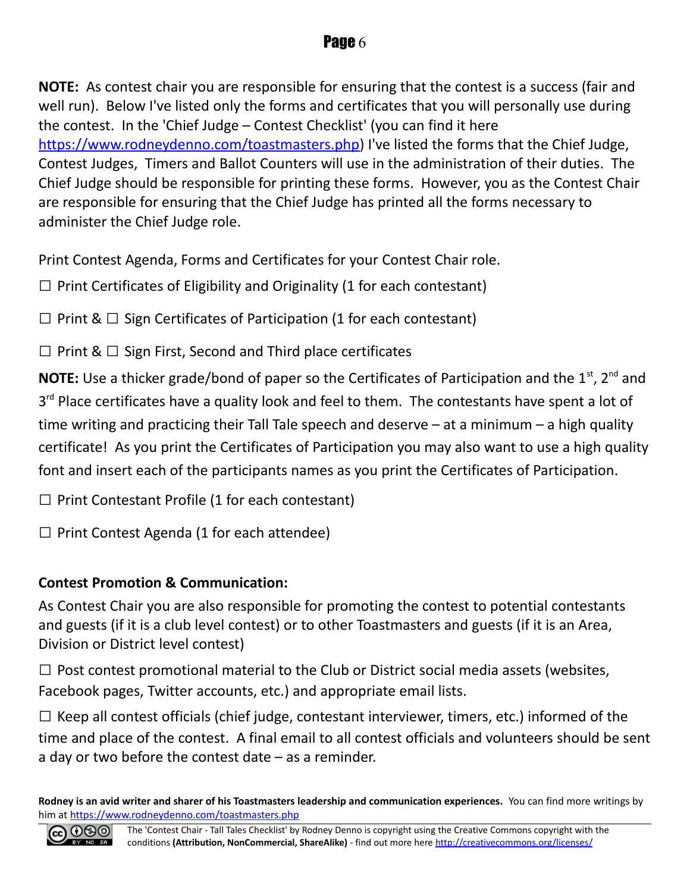**NOTE:** As contest chair you are responsible for ensuring that the contest is a success (fair and well run). Below I've listed only the forms and certificates that you will personally use during the contest. In the 'Chief Judge – Contest Checklist' (you can find it here [https://www.rodneydenno.com/toastmasters.php\)](https://www.rodneydenno.com/toastmasters.php) I've listed the forms that the Chief Judge, Contest Judges, Timers and Ballot Counters will use in the administration of their duties. The Chief Judge should be responsible for printing these forms. However, you as the Contest Chair are responsible for ensuring that the Chief Judge has printed all the forms necessary to administer the Chief Judge role.

Print Contest Agenda, Forms and Certificates for your Contest Chair role.

 $\Box$  Print Certificates of Eligibility and Originality (1 for each contestant)

 $\Box$  Print &  $\Box$  Sign Certificates of Participation (1 for each contestant)

 $\Box$  Print &  $\Box$  Sign First, Second and Third place certificates

**NOTE:** Use a thicker grade/bond of paper so the Certificates of Participation and the 1<sup>st</sup>, 2<sup>nd</sup> and 3<sup>rd</sup> Place certificates have a quality look and feel to them. The contestants have spent a lot of time writing and practicing their Tall Tale speech and deserve – at a minimum – a high quality certificate! As you print the Certificates of Participation you may also want to use a high quality font and insert each of the participants names as you print the Certificates of Participation.

 $\Box$  Print Contestant Profile (1 for each contestant)

 $\square$  Print Contest Agenda (1 for each attendee)

#### **Contest Promotion & Communication:**

As Contest Chair you are also responsible for promoting the contest to potential contestants and guests (if it is a club level contest) or to other Toastmasters and guests (if it is an Area, Division or District level contest)

 $\Box$  Post contest promotional material to the Club or District social media assets (websites, Facebook pages, Twitter accounts, etc.) and appropriate email lists.

 $\Box$  Keep all contest officials (chief judge, contestant interviewer, timers, etc.) informed of the time and place of the contest. A final email to all contest officials and volunteers should be sent a day or two before the contest date – as a reminder.

**Rodney is an avid writer and sharer of his Toastmasters leadership and communication experiences.** You can find more writings by him at<https://www.rodneydenno.com/toastmasters.php>

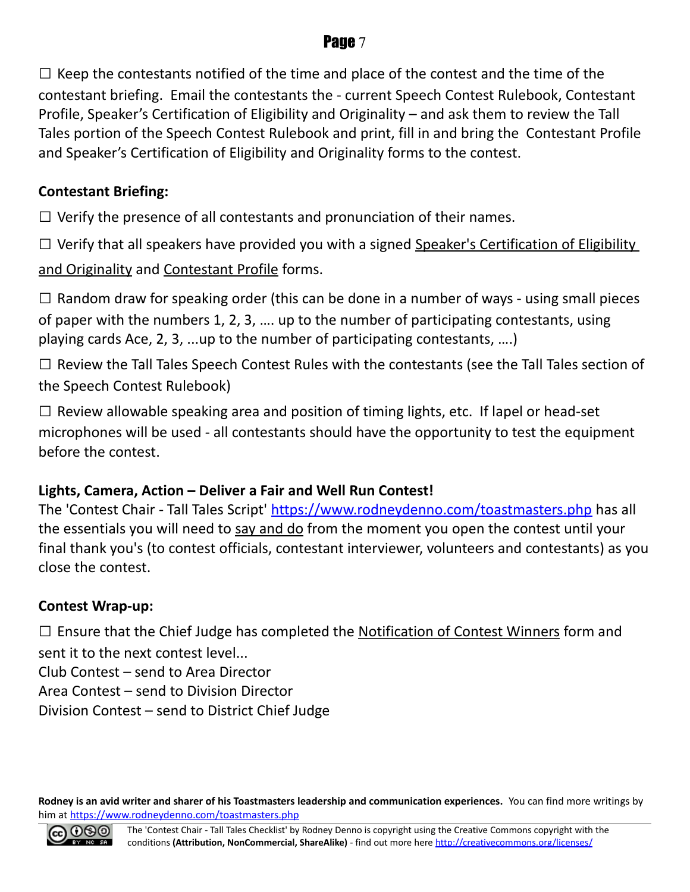$\square$  Keep the contestants notified of the time and place of the contest and the time of the contestant briefing. Email the contestants the - current Speech Contest Rulebook, Contestant Profile, Speaker's Certification of Eligibility and Originality – and ask them to review the Tall Tales portion of the Speech Contest Rulebook and print, fill in and bring the Contestant Profile and Speaker's Certification of Eligibility and Originality forms to the contest.

#### **Contestant Briefing:**

 $\Box$  Verify the presence of all contestants and pronunciation of their names.

 $\square$  Verify that all speakers have provided you with a signed Speaker's Certification of Eligibility

and Originality and Contestant Profile forms.

 $\square$  Random draw for speaking order (this can be done in a number of ways - using small pieces of paper with the numbers 1, 2, 3, …. up to the number of participating contestants, using playing cards Ace, 2, 3, ...up to the number of participating contestants, ….)

 $\square$  Review the Tall Tales Speech Contest Rules with the contestants (see the Tall Tales section of the Speech Contest Rulebook)

 $\square$  Review allowable speaking area and position of timing lights, etc. If lapel or head-set microphones will be used - all contestants should have the opportunity to test the equipment before the contest.

#### **Lights, Camera, Action – Deliver a Fair and Well Run Contest!**

The 'Contest Chair - Tall Tales Script'<https://www.rodneydenno.com/toastmasters.php>has all the essentials you will need to say and do from the moment you open the contest until your final thank you's (to contest officials, contestant interviewer, volunteers and contestants) as you close the contest.

#### **Contest Wrap-up:**

 $\square$  Ensure that the Chief Judge has completed the Notification of Contest Winners form and sent it to the next contest level...

Club Contest – send to Area Director

Area Contest – send to Division Director

Division Contest – send to District Chief Judge